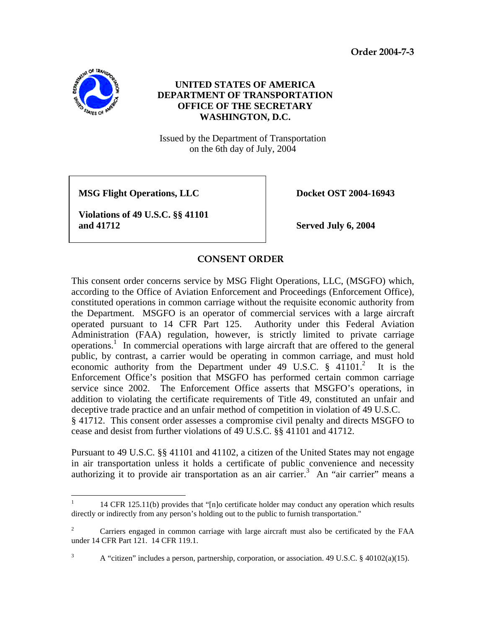**Order 2004-7-3** 



 $\overline{a}$ 

## **UNITED STATES OF AMERICA DEPARTMENT OF TRANSPORTATION OFFICE OF THE SECRETARY WASHINGTON, D.C.**

Issued by the Department of Transportation on the 6th day of July, 2004

MSG Flight Operations, LLC Docket OST 2004-16943

**Violations of 49 U.S.C. §§ 41101 and 41712 Served July 6, 2004** 

## **CONSENT ORDER**

This consent order concerns service by MSG Flight Operations, LLC, (MSGFO) which, according to the Office of Aviation Enforcement and Proceedings (Enforcement Office), constituted operations in common carriage without the requisite economic authority from the Department. MSGFO is an operator of commercial services with a large aircraft operated pursuant to 14 CFR Part 125. Authority under this Federal Aviation Administration (FAA) regulation, however, is strictly limited to private carriage operations.<sup>1</sup> In commercial operations with large aircraft that are offered to the general public, by contrast, a carrier would be operating in common carriage, and must hold economic authority from the Department under 49 U.S.C.  $\S$  41101.<sup>2</sup> It is the Enforcement Office's position that MSGFO has performed certain common carriage service since 2002. The Enforcement Office asserts that MSGFO's operations, in addition to violating the certificate requirements of Title 49, constituted an unfair and deceptive trade practice and an unfair method of competition in violation of 49 U.S.C. § 41712. This consent order assesses a compromise civil penalty and directs MSGFO to cease and desist from further violations of 49 U.S.C. §§ 41101 and 41712.

Pursuant to 49 U.S.C. §§ 41101 and 41102, a citizen of the United States may not engage in air transportation unless it holds a certificate of public convenience and necessity authorizing it to provide air transportation as an air carrier.<sup>3</sup> An "air carrier" means a

<sup>1</sup> 14 CFR 125.11(b) provides that "[n]o certificate holder may conduct any operation which results directly or indirectly from any person's holding out to the public to furnish transportation."

 $2^2$  Carriers engaged in common carriage with large aircraft must also be certificated by the FAA under 14 CFR Part 121. 14 CFR 119.1.

<sup>3</sup> A "citizen" includes a person, partnership, corporation, or association. 49 U.S.C. § 40102(a)(15).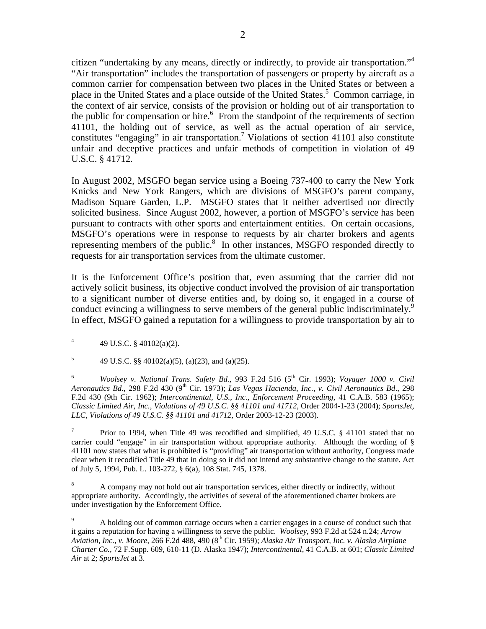citizen "undertaking by any means, directly or indirectly, to provide air transportation."<sup>4</sup> "Air transportation" includes the transportation of passengers or property by aircraft as a common carrier for compensation between two places in the United States or between a place in the United States and a place outside of the United States.<sup>5</sup> Common carriage, in the context of air service, consists of the provision or holding out of air transportation to the public for compensation or hire.<sup>6</sup> From the standpoint of the requirements of section 41101, the holding out of service, as well as the actual operation of air service, constitutes "engaging" in air transportation.<sup>7</sup> Violations of section 41101 also constitute unfair and deceptive practices and unfair methods of competition in violation of 49 U.S.C. § 41712.

In August 2002, MSGFO began service using a Boeing 737-400 to carry the New York Knicks and New York Rangers, which are divisions of MSGFO's parent company, Madison Square Garden, L.P. MSGFO states that it neither advertised nor directly solicited business. Since August 2002, however, a portion of MSGFO's service has been pursuant to contracts with other sports and entertainment entities. On certain occasions, MSGFO's operations were in response to requests by air charter brokers and agents representing members of the public.<sup>8</sup> In other instances, MSGFO responded directly to requests for air transportation services from the ultimate customer.

It is the Enforcement Office's position that, even assuming that the carrier did not actively solicit business, its objective conduct involved the provision of air transportation to a significant number of diverse entities and, by doing so, it engaged in a course of conduct evincing a willingness to serve members of the general public indiscriminately.<sup>9</sup> In effect, MSGFO gained a reputation for a willingness to provide transportation by air to

6 *Woolsey v. National Trans. Safety Bd.*, 993 F.2d 516 (5<sup>th</sup> Cir. 1993); *Voyager 1000 v. Civil Aeronautics Bd.*, 298 F.2d 430 (9th Cir. 1973); *Las Vegas Hacienda, Inc., v. Civil Aeronautics Bd*., 298 F.2d 430 (9th Cir. 1962); *Intercontinental, U.S., Inc., Enforcement Proceeding*, 41 C.A.B. 583 (1965); *Classic Limited Air, Inc., Violations of 49 U.S.C. §§ 41101 and 41712,* Order 2004-1-23 (2004); *SportsJet, LLC, Violations of 49 U.S.C. §§ 41101 and 41712,* Order 2003-12-23 (2003).

7 Prior to 1994, when Title 49 was recodified and simplified, 49 U.S.C. § 41101 stated that no carrier could "engage" in air transportation without appropriate authority. Although the wording of § 41101 now states that what is prohibited is "providing" air transportation without authority, Congress made clear when it recodified Title 49 that in doing so it did not intend any substantive change to the statute. Act of July 5, 1994, Pub. L. 103-272, § 6(a), 108 Stat. 745, 1378.

8 A company may not hold out air transportation services, either directly or indirectly, without appropriate authority. Accordingly, the activities of several of the aforementioned charter brokers are under investigation by the Enforcement Office.

9 A holding out of common carriage occurs when a carrier engages in a course of conduct such that it gains a reputation for having a willingness to serve the public. *Woolsey,* 993 F.2d at 524 n.24; *Arrow Aviation, Inc., v. Moore*, 266 F.2d 488, 490 (8th Cir. 1959); *Alaska Air Transport, Inc. v. Alaska Airplane Charter Co.,* 72 F.Supp. 609, 610-11 (D. Alaska 1947); *Intercontinental*, 41 C.A.B. at 601; *Classic Limited Air* at 2; *SportsJet* at 3.

 $\frac{1}{4}$ 49 U.S.C. § 40102(a)(2).

<sup>5</sup> 49 U.S.C. §§ 40102(a)(5), (a)(23), and (a)(25).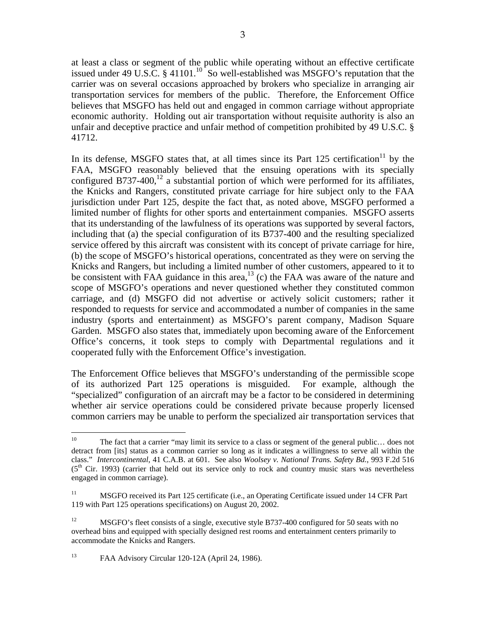at least a class or segment of the public while operating without an effective certificate issued under 49 U.S.C. § 41101.<sup>10</sup> So well-established was MSGFO's reputation that the carrier was on several occasions approached by brokers who specialize in arranging air transportation services for members of the public. Therefore, the Enforcement Office believes that MSGFO has held out and engaged in common carriage without appropriate economic authority. Holding out air transportation without requisite authority is also an unfair and deceptive practice and unfair method of competition prohibited by 49 U.S.C. § 41712.

In its defense, MSGFO states that, at all times since its Part 125 certification<sup>11</sup> by the FAA, MSGFO reasonably believed that the ensuing operations with its specially configured B737-400,<sup>12</sup> a substantial portion of which were performed for its affiliates, the Knicks and Rangers, constituted private carriage for hire subject only to the FAA jurisdiction under Part 125, despite the fact that, as noted above, MSGFO performed a limited number of flights for other sports and entertainment companies. MSGFO asserts that its understanding of the lawfulness of its operations was supported by several factors, including that (a) the special configuration of its B737-400 and the resulting specialized service offered by this aircraft was consistent with its concept of private carriage for hire, (b) the scope of MSGFO's historical operations, concentrated as they were on serving the Knicks and Rangers, but including a limited number of other customers, appeared to it to be consistent with FAA guidance in this area,<sup>13</sup> (c) the FAA was aware of the nature and scope of MSGFO's operations and never questioned whether they constituted common carriage, and (d) MSGFO did not advertise or actively solicit customers; rather it responded to requests for service and accommodated a number of companies in the same industry (sports and entertainment) as MSGFO's parent company, Madison Square Garden. MSGFO also states that, immediately upon becoming aware of the Enforcement Office's concerns, it took steps to comply with Departmental regulations and it cooperated fully with the Enforcement Office's investigation.

The Enforcement Office believes that MSGFO's understanding of the permissible scope of its authorized Part 125 operations is misguided. For example, although the "specialized" configuration of an aircraft may be a factor to be considered in determining whether air service operations could be considered private because properly licensed common carriers may be unable to perform the specialized air transportation services that

13 FAA Advisory Circular 120-12A (April 24, 1986).

 $10<sup>1</sup>$ The fact that a carrier "may limit its service to a class or segment of the general public... does not detract from [its] status as a common carrier so long as it indicates a willingness to serve all within the class." *Intercontinental*, 41 C.A.B. at 601. See also *Woolsey v. National Trans. Safety Bd.*, 993 F.2d 516  $(5<sup>th</sup>$  Cir. 1993) (carrier that held out its service only to rock and country music stars was nevertheless engaged in common carriage).

<sup>&</sup>lt;sup>11</sup> MSGFO received its Part 125 certificate (i.e., an Operating Certificate issued under 14 CFR Part 119 with Part 125 operations specifications) on August 20, 2002.

<sup>&</sup>lt;sup>12</sup> MSGFO's fleet consists of a single, executive style B737-400 configured for 50 seats with no overhead bins and equipped with specially designed rest rooms and entertainment centers primarily to accommodate the Knicks and Rangers.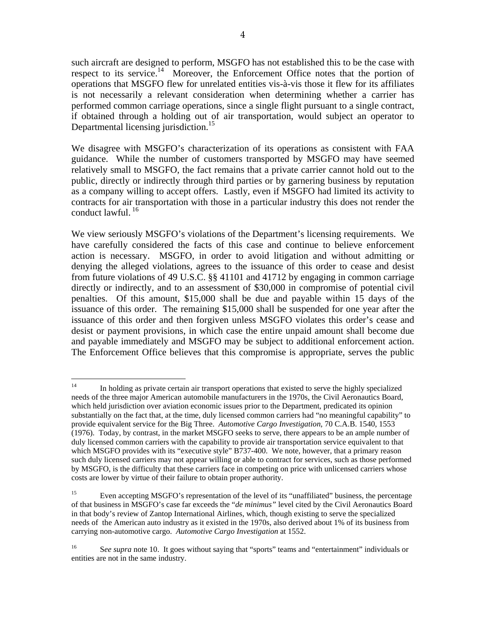such aircraft are designed to perform, MSGFO has not established this to be the case with respect to its service.<sup>14</sup> Moreover, the Enforcement Office notes that the portion of operations that MSGFO flew for unrelated entities vis-à-vis those it flew for its affiliates is not necessarily a relevant consideration when determining whether a carrier has performed common carriage operations, since a single flight pursuant to a single contract, if obtained through a holding out of air transportation, would subject an operator to Departmental licensing jurisdiction.<sup>15</sup>

We disagree with MSGFO's characterization of its operations as consistent with FAA guidance. While the number of customers transported by MSGFO may have seemed relatively small to MSGFO, the fact remains that a private carrier cannot hold out to the public, directly or indirectly through third parties or by garnering business by reputation as a company willing to accept offers. Lastly, even if MSGFO had limited its activity to contracts for air transportation with those in a particular industry this does not render the conduct lawful. 16

We view seriously MSGFO's violations of the Department's licensing requirements. We have carefully considered the facts of this case and continue to believe enforcement action is necessary. MSGFO, in order to avoid litigation and without admitting or denying the alleged violations, agrees to the issuance of this order to cease and desist from future violations of 49 U.S.C. §§ 41101 and 41712 by engaging in common carriage directly or indirectly, and to an assessment of \$30,000 in compromise of potential civil penalties. Of this amount, \$15,000 shall be due and payable within 15 days of the issuance of this order. The remaining \$15,000 shall be suspended for one year after the issuance of this order and then forgiven unless MSGFO violates this order's cease and desist or payment provisions, in which case the entire unpaid amount shall become due and payable immediately and MSGFO may be subject to additional enforcement action. The Enforcement Office believes that this compromise is appropriate, serves the public

 $14$ 14 In holding as private certain air transport operations that existed to serve the highly specialized needs of the three major American automobile manufacturers in the 1970s, the Civil Aeronautics Board, which held jurisdiction over aviation economic issues prior to the Department, predicated its opinion substantially on the fact that, at the time, duly licensed common carriers had "no meaningful capability" to provide equivalent service for the Big Three. *Automotive Cargo Investigation*, 70 C.A.B. 1540, 1553 (1976). Today, by contrast, in the market MSGFO seeks to serve, there appears to be an ample number of duly licensed common carriers with the capability to provide air transportation service equivalent to that which MSGFO provides with its "executive style" B737-400. We note, however, that a primary reason such duly licensed carriers may not appear willing or able to contract for services, such as those performed by MSGFO, is the difficulty that these carriers face in competing on price with unlicensed carriers whose costs are lower by virtue of their failure to obtain proper authority.

<sup>&</sup>lt;sup>15</sup> Even accepting MSGFO's representation of the level of its "unaffiliated" business, the percentage of that business in MSGFO's case far exceeds the "*de minimus"* level cited by the Civil Aeronautics Board in that body's review of Zantop International Airlines, which, though existing to serve the specialized needs of the American auto industry as it existed in the 1970s, also derived about 1% of its business from carrying non-automotive cargo. *Automotive Cargo Investigation* at 1552.

<sup>&</sup>lt;sup>16</sup> See supra note 10. It goes without saying that "sports" teams and "entertainment" individuals or entities are not in the same industry.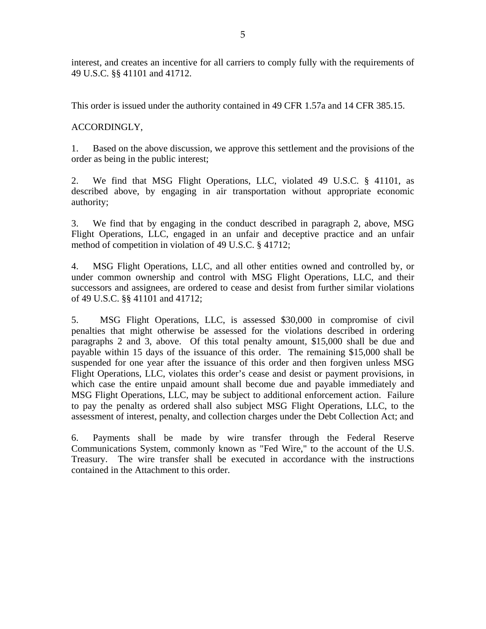interest, and creates an incentive for all carriers to comply fully with the requirements of 49 U.S.C. §§ 41101 and 41712.

This order is issued under the authority contained in 49 CFR 1.57a and 14 CFR 385.15.

ACCORDINGLY,

1. Based on the above discussion, we approve this settlement and the provisions of the order as being in the public interest;

2. We find that MSG Flight Operations, LLC, violated 49 U.S.C. § 41101, as described above, by engaging in air transportation without appropriate economic authority;

3. We find that by engaging in the conduct described in paragraph 2, above, MSG Flight Operations, LLC, engaged in an unfair and deceptive practice and an unfair method of competition in violation of 49 U.S.C. § 41712;

4. MSG Flight Operations, LLC, and all other entities owned and controlled by, or under common ownership and control with MSG Flight Operations, LLC, and their successors and assignees, are ordered to cease and desist from further similar violations of 49 U.S.C. §§ 41101 and 41712;

5. MSG Flight Operations, LLC, is assessed \$30,000 in compromise of civil penalties that might otherwise be assessed for the violations described in ordering paragraphs 2 and 3, above. Of this total penalty amount, \$15,000 shall be due and payable within 15 days of the issuance of this order. The remaining \$15,000 shall be suspended for one year after the issuance of this order and then forgiven unless MSG Flight Operations, LLC, violates this order's cease and desist or payment provisions, in which case the entire unpaid amount shall become due and payable immediately and MSG Flight Operations, LLC, may be subject to additional enforcement action. Failure to pay the penalty as ordered shall also subject MSG Flight Operations, LLC, to the assessment of interest, penalty, and collection charges under the Debt Collection Act; and

6. Payments shall be made by wire transfer through the Federal Reserve Communications System, commonly known as "Fed Wire," to the account of the U.S. Treasury. The wire transfer shall be executed in accordance with the instructions contained in the Attachment to this order.